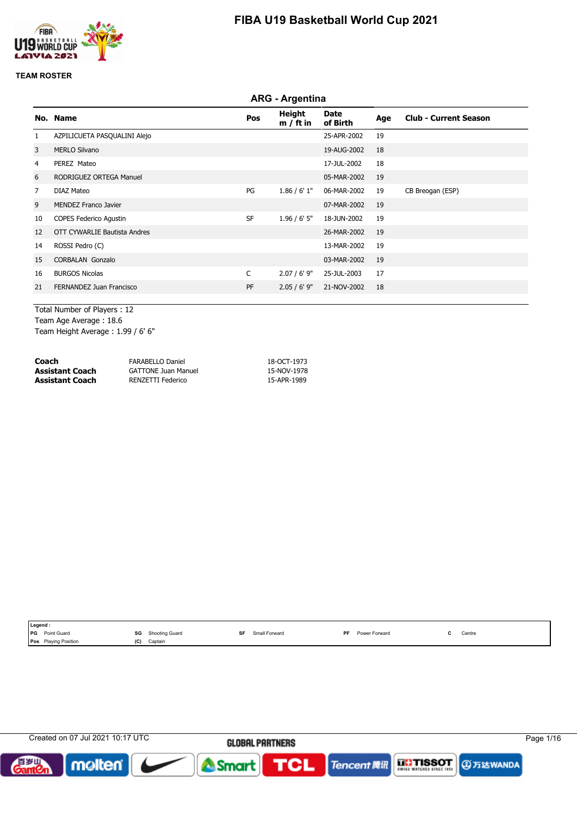

#### **TEAM ROSTER**

|                |                               |           | <b>ARG - Argentina</b> |                  |     |                              |
|----------------|-------------------------------|-----------|------------------------|------------------|-----|------------------------------|
|                | No. Name                      | Pos       | Height<br>$m / ft$ in  | Date<br>of Birth | Age | <b>Club - Current Season</b> |
| 1              | AZPILICUETA PASQUALINI Alejo  |           |                        | 25-APR-2002      | 19  |                              |
| 3              | <b>MERLO Silvano</b>          |           |                        | 19-AUG-2002      | 18  |                              |
| $\overline{4}$ | PEREZ Mateo                   |           |                        | 17-JUL-2002      | 18  |                              |
| 6              | RODRIGUEZ ORTEGA Manuel       |           |                        | 05-MAR-2002      | 19  |                              |
| $\overline{7}$ | DIAZ Mateo                    | PG        | 1.86 / 6' 1''          | 06-MAR-2002      | 19  | CB Breogan (ESP)             |
| 9              | <b>MENDEZ Franco Javier</b>   |           |                        | 07-MAR-2002      | 19  |                              |
| 10             | <b>COPES Federico Agustin</b> | <b>SF</b> | $1.96 / 6'$ 5"         | 18-JUN-2002      | 19  |                              |
| 12             | OTT CYWARLIE Bautista Andres  |           |                        | 26-MAR-2002      | 19  |                              |
| 14             | ROSSI Pedro (C)               |           |                        | 13-MAR-2002      | 19  |                              |
| 15             | <b>CORBALAN Gonzalo</b>       |           |                        | 03-MAR-2002      | 19  |                              |
| 16             | <b>BURGOS Nicolas</b>         | C         | 2.07/6'9''             | 25-JUL-2003      | 17  |                              |
| 21             | FERNANDEZ Juan Francisco      | PF        | $2.05 / 6'$ 9"         | 21-NOV-2002      | 18  |                              |

Total Number of Players : 12 Team Age Average : 18.6 Team Height Average : 1.99 / 6' 6"

| Coach           | <b>FARABELLO Daniel</b>    | 18-OCT-1973 |
|-----------------|----------------------------|-------------|
| Assistant Coach | <b>GATTONE Juan Manuel</b> | 15-NOV-1978 |
| Assistant Coach | RENZETTI Federico          | 15-APR-1989 |

|            | Legend :                    |     |                |    |               |    |               |        |
|------------|-----------------------------|-----|----------------|----|---------------|----|---------------|--------|
| <b>IPG</b> | <b>Point Guard</b>          | SG  | Shooting Guard | SF | Small Forward | PF | Power Forward | Centre |
|            | <b>Pos</b> Playing Position | (ພ) | Captain        |    |               |    |               |        |

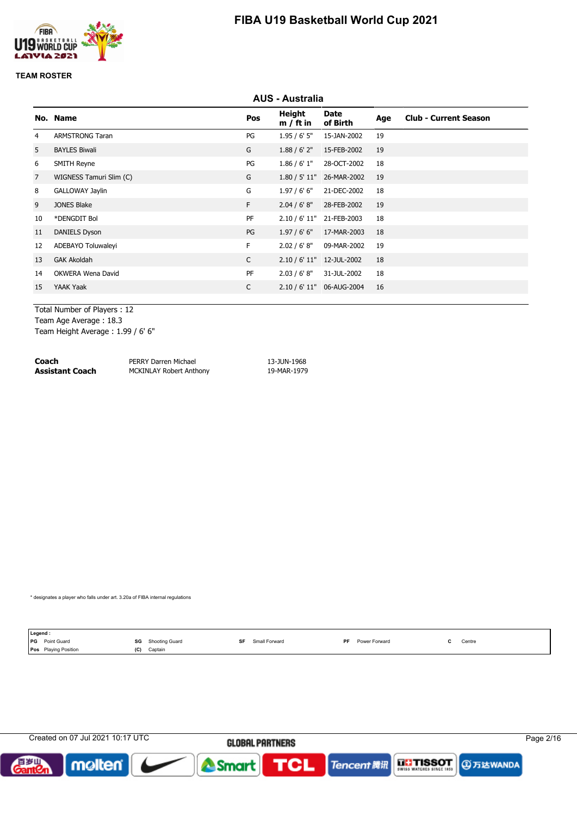

#### **TEAM ROSTER**

|                |                         |              | <b>AUS - Australia</b> |                         |     |                              |
|----------------|-------------------------|--------------|------------------------|-------------------------|-----|------------------------------|
|                | No. Name                | Pos          | Height<br>$m / ft$ in  | <b>Date</b><br>of Birth | Age | <b>Club - Current Season</b> |
| 4              | <b>ARMSTRONG Taran</b>  | PG           | 1.95/6'5''             | 15-JAN-2002             | 19  |                              |
| 5              | <b>BAYLES Biwali</b>    | G            | 1.88 / 6' 2''          | 15-FEB-2002             | 19  |                              |
| 6              | <b>SMITH Reyne</b>      | PG           | 1.86 / 6' 1''          | 28-OCT-2002             | 18  |                              |
| $\overline{7}$ | WIGNESS Tamuri Slim (C) | G            | 1.80 / 5' 11"          | 26-MAR-2002             | 19  |                              |
| 8              | GALLOWAY Jaylin         | G            | 1.97/6'6''             | 21-DEC-2002             | 18  |                              |
| 9              | <b>JONES Blake</b>      | F.           | 2.04 / 6' 8''          | 28-FEB-2002             | 19  |                              |
| 10             | *DENGDIT Bol            | PF           | 2.10 / 6' 11"          | 21-FEB-2003             | 18  |                              |
| 11             | <b>DANIELS Dyson</b>    | PG           | 1.97/6'6''             | 17-MAR-2003             | 18  |                              |
| 12             | ADEBAYO Toluwaleyi      | F.           | 2.02 / 6' 8''          | 09-MAR-2002             | 19  |                              |
| 13             | <b>GAK Akoldah</b>      | $\mathsf{C}$ | 2.10 / 6' 11"          | 12-JUL-2002             | 18  |                              |
| 14             | OKWERA Wena David       | PF           | 2.03 / 6' 8''          | 31-JUL-2002             | 18  |                              |
| 15             | YAAK Yaak               | $\mathsf{C}$ | 2.10 / 6' 11"          | 06-AUG-2004             | 16  |                              |
|                |                         |              |                        |                         |     |                              |

Total Number of Players : 12 Team Age Average : 18.3

Team Height Average : 1.99 / 6' 6"

| Coach                  | PERRY Darren Michael           | 13-JUN-1968 |
|------------------------|--------------------------------|-------------|
| <b>Assistant Coach</b> | <b>MCKINLAY Robert Anthony</b> | 19-MAR-1979 |

\* designates a player who falls under art. 3.20a of FIBA internal regulations

| Legend:               |     |                |    |               |    |               |        |
|-----------------------|-----|----------------|----|---------------|----|---------------|--------|
| <b>PG</b> Point Guard | SG  | Shooting Guard | SF | Small Forward | PF | Power Forward | Centre |
| Pos Playing Position  | (C) | Captain        |    |               |    |               |        |

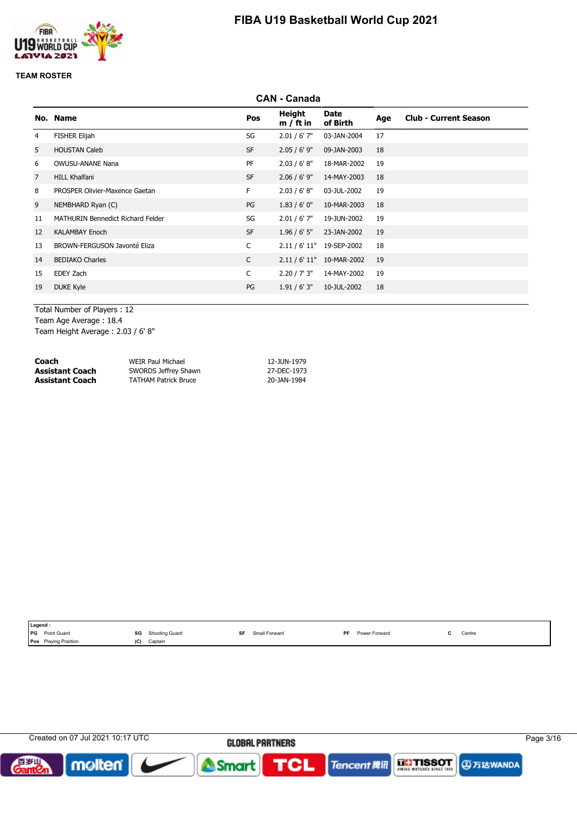

### **TEAM ROSTER**

|                |                                   |           | <b>CAN - Canada</b>   |                           |     |                              |
|----------------|-----------------------------------|-----------|-----------------------|---------------------------|-----|------------------------------|
|                | No. Name                          | Pos       | Height<br>$m / ft$ in | Date<br>of Birth          | Age | <b>Club - Current Season</b> |
| 4              | <b>FISHER Elijah</b>              | SG        | $2.01 / 6'$ 7"        | 03-JAN-2004               | 17  |                              |
| 5              | <b>HOUSTAN Caleb</b>              | <b>SF</b> | $2.05 / 6'$ 9"        | 09-JAN-2003               | 18  |                              |
| 6              | <b>OWUSU-ANANE Nana</b>           | PF        | 2.03 / 6' 8''         | 18-MAR-2002               | 19  |                              |
| $\overline{7}$ | <b>HILL Khalfani</b>              | <b>SF</b> | $2.06 / 6'$ 9"        | 14-MAY-2003               | 18  |                              |
| 8              | PROSPER Olivier-Maxence Gaetan    | F.        | 2.03 / 6' 8''         | 03-JUL-2002               | 19  |                              |
| 9              | NEMBHARD Ryan (C)                 | PG        | 1.83/6'0''            | 10-MAR-2003               | 18  |                              |
| 11             | MATHURIN Bennedict Richard Felder | SG        | 2.01 / 6' 7''         | 19-JUN-2002               | 19  |                              |
| 12             | <b>KALAMBAY Enoch</b>             | <b>SF</b> | $1.96 / 6'$ 5"        | 23-JAN-2002               | 19  |                              |
| 13             | BROWN-FERGUSON Javonté Eliza      | C         |                       | 2.11 / 6' 11" 19-SEP-2002 | 18  |                              |
| 14             | <b>BEDIAKO Charles</b>            | C         |                       | 2.11 / 6' 11" 10-MAR-2002 | 19  |                              |
| 15             | EDEY Zach                         | C         | 2.20 / 7' 3''         | 14-MAY-2002               | 19  |                              |
| 19             | <b>DUKE Kyle</b>                  | PG        | 1.91 / 6' 3''         | 10-JUL-2002               | 18  |                              |
|                |                                   |           |                       |                           |     |                              |

Total Number of Players : 12 Team Age Average : 18.4 Team Height Average : 2.03 / 6' 8"

| Coach                  | WEIR Paul Michael           | 12-JUN-1979 |
|------------------------|-----------------------------|-------------|
| <b>Assistant Coach</b> | SWORDS Jeffrey Shawn        | 27-DEC-1973 |
| <b>Assistant Coach</b> | <b>TATHAM Patrick Bruce</b> | 20-JAN-1984 |

|            | Legend:                     |     |                |    |               |     |               |        |
|------------|-----------------------------|-----|----------------|----|---------------|-----|---------------|--------|
| <b>IPG</b> | Point Guard                 | SG  | Shooting Guard | SF | Small Forward | PF. | Power Forward | Centre |
|            | <b>Pos</b> Playing Position | (C) | Captain        |    |               |     |               |        |

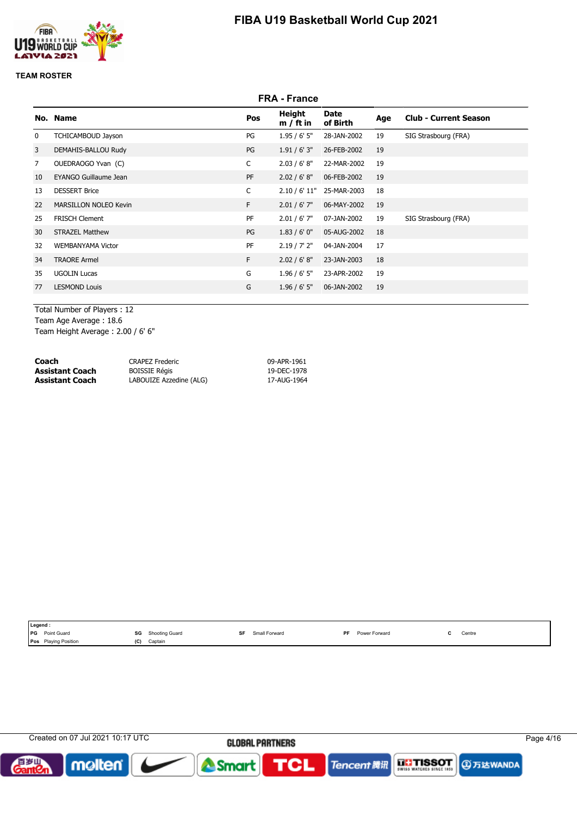



### **TEAM ROSTER**

|             |                              |              | <b>FRA - France</b>   |                  |     |                              |
|-------------|------------------------------|--------------|-----------------------|------------------|-----|------------------------------|
|             | No. Name                     | Pos          | Height<br>$m / ft$ in | Date<br>of Birth | Age | <b>Club - Current Season</b> |
| 0           | TCHICAMBOUD Jayson           | PG           | 1.95/6'5''            | 28-JAN-2002      | 19  | SIG Strasbourg (FRA)         |
| 3           | DEMAHIS-BALLOU Rudy          | PG           | 1.91 / 6' 3''         | 26-FEB-2002      | 19  |                              |
| $7^{\circ}$ | OUEDRAOGO Yvan (C)           | C            | 2.03 / 6' 8''         | 22-MAR-2002      | 19  |                              |
| 10          | EYANGO Guillaume Jean        | PF           | 2.02 / 6' 8''         | 06-FEB-2002      | 19  |                              |
| 13          | <b>DESSERT Brice</b>         | $\mathsf{C}$ | 2.10 / 6' 11"         | 25-MAR-2003      | 18  |                              |
| 22          | <b>MARSILLON NOLEO Kevin</b> | F.           | $2.01 / 6'$ 7"        | 06-MAY-2002      | 19  |                              |
| 25          | <b>FRISCH Clement</b>        | PF           | $2.01 / 6'$ 7"        | 07-JAN-2002      | 19  | SIG Strasbourg (FRA)         |
| 30          | <b>STRAZEL Matthew</b>       | PG           | 1.83/6'0''            | 05-AUG-2002      | 18  |                              |
| 32          | <b>WEMBANYAMA Victor</b>     | PF           | 2.19 / 7' 2''         | 04-JAN-2004      | 17  |                              |
| 34          | <b>TRAORE Armel</b>          | F.           | 2.02 / 6' 8''         | 23-JAN-2003      | 18  |                              |
| 35          | <b>UGOLIN Lucas</b>          | G            | $1.96 / 6'$ 5"        | 23-APR-2002      | 19  |                              |
| 77          | <b>LESMOND Louis</b>         | G            | $1.96 / 6'$ 5"        | 06-JAN-2002      | 19  |                              |
|             |                              |              |                       |                  |     |                              |

Total Number of Players : 12 Team Age Average : 18.6

Team Height Average : 2.00 / 6' 6"

| Coach           | <b>CRAPEZ Frederic</b>  | 09-APR-1961 |
|-----------------|-------------------------|-------------|
| Assistant Coach | <b>BOISSIE Régis</b>    | 19-DEC-1978 |
| Assistant Coach | LABOUIZE Azzedine (ALG) | 17-AUG-1964 |

| Legend:                                                                                                      |            |                                                          |    |               |     |                      |                                               |
|--------------------------------------------------------------------------------------------------------------|------------|----------------------------------------------------------|----|---------------|-----|----------------------|-----------------------------------------------|
| <b>IPG</b><br>Point Guard<br>the contract of the contract of the contract of the contract of the contract of | SG<br>$ -$ | <b>Shooting Guard</b><br>the contract of the contract of | SF | Small Forward | DE. | <b>Power Forward</b> | Centre<br>the contract of the contract of the |
| Pos<br><b>Playing Position</b>                                                                               | (C)        | Captain                                                  |    |               |     |                      |                                               |

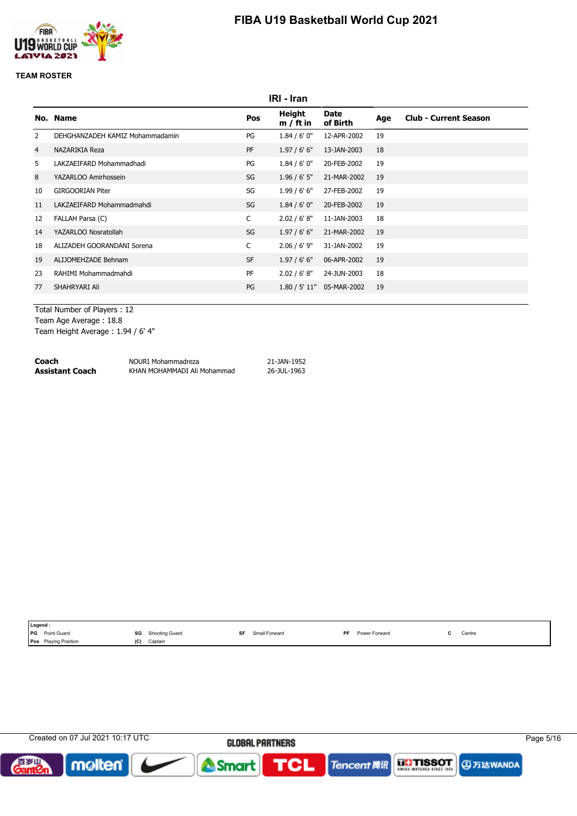

### **TEAM ROSTER**

|    |                                 |              | IRI - Iran            |                           |     |                              |
|----|---------------------------------|--------------|-----------------------|---------------------------|-----|------------------------------|
|    | No. Name                        | Pos          | Height<br>$m / ft$ in | Date<br>of Birth          | Age | <b>Club - Current Season</b> |
| 2  | DEHGHANZADEH KAMIZ Mohammadamin | PG           | 1.84/6'0''            | 12-APR-2002               | 19  |                              |
| 4  | NAZARIKIA Reza                  | <b>PF</b>    | 1.97/6'6''            | 13-JAN-2003               | 18  |                              |
| 5  | LAKZAEIFARD Mohammadhadi        | PG           | 1.84/6'0''            | 20-FEB-2002               | 19  |                              |
| 8  | YAZARLOO Amirhossein            | SG           | $1.96 / 6'$ 5"        | 21-MAR-2002               | 19  |                              |
| 10 | <b>GIRGOORIAN Piter</b>         | SG           | 1.99/6'6''            | 27-FEB-2002               | 19  |                              |
| 11 | LAKZAEIFARD Mohammadmahdi       | SG           | 1.84/6'0''            | 20-FEB-2002               | 19  |                              |
| 12 | FALLAH Parsa (C)                | $\mathsf{C}$ | 2.02 / 6' 8''         | 11-JAN-2003               | 18  |                              |
| 14 | YAZARLOO Nosratollah            | SG           | 1.97/6'6''            | 21-MAR-2002               | 19  |                              |
| 18 | ALIZADEH GOORANDANI Sorena      | $\mathsf{C}$ | $2.06 / 6'$ 9"        | 31-JAN-2002               | 19  |                              |
| 19 | ALLIOMEHZADE Behnam             | <b>SF</b>    | 1.97/6'6''            | 06-APR-2002               | 19  |                              |
| 23 | RAHIMI Mohammadmahdi            | PF           | 2.02 / 6' 8''         | 24-JUN-2003               | 18  |                              |
| 77 | SHAHRYARI Ali                   | PG           |                       | 1.80 / 5' 11" 05-MAR-2002 | 19  |                              |
|    |                                 |              |                       |                           |     |                              |

Total Number of Players : 12 Team Age Average : 18.8 Team Height Average : 1.94 / 6' 4"

| Coach           | NOURI Mohammadreza          | 21-JAN-1952 |
|-----------------|-----------------------------|-------------|
| Assistant Coach | KHAN MOHAMMADI Ali Mohammad | 26-JUL-1963 |

| Legend:                     |     |                |    |               |     |               |        |
|-----------------------------|-----|----------------|----|---------------|-----|---------------|--------|
| PG<br>Point Guard           | SG  | Shooting Guard | SF | Small Forward | DE. | Power Forward | Centre |
| <b>Pos</b> Playing Position | (C) | Captain        |    |               |     |               |        |

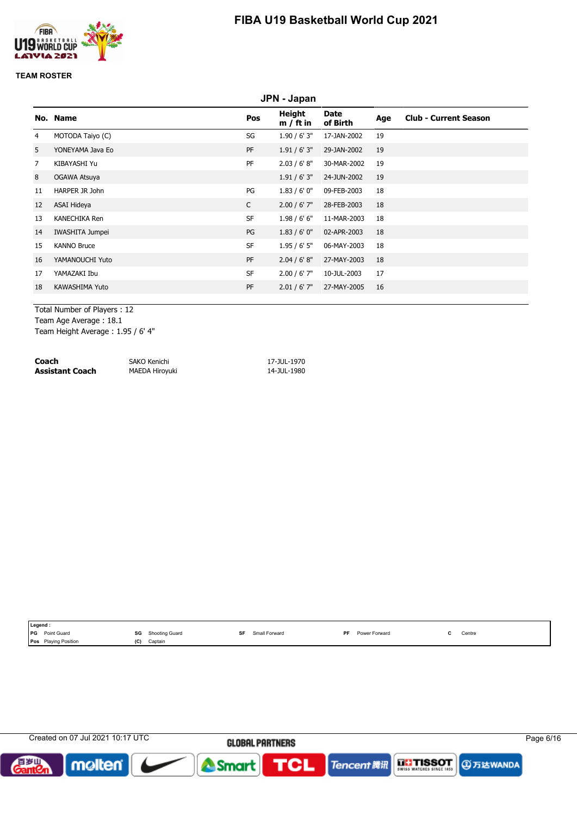

### **TEAM ROSTER**

|                |                      |              | JPN - Japan           |                  |     |                              |
|----------------|----------------------|--------------|-----------------------|------------------|-----|------------------------------|
|                | No. Name             | Pos          | Height<br>$m / ft$ in | Date<br>of Birth | Age | <b>Club - Current Season</b> |
| 4              | MOTODA Taiyo (C)     | SG           | 1.90/6'3''            | 17-JAN-2002      | 19  |                              |
| 5              | YONEYAMA Java Eo     | <b>PF</b>    | 1.91 / 6' 3''         | 29-JAN-2002      | 19  |                              |
| $\overline{7}$ | KIBAYASHI Yu         | PF           | 2.03 / 6' 8''         | 30-MAR-2002      | 19  |                              |
| 8              | OGAWA Atsuya         |              | 1.91 / 6' 3''         | 24-JUN-2002      | 19  |                              |
| 11             | HARPER JR John       | PG           | 1.83/6'0''            | 09-FEB-2003      | 18  |                              |
| 12             | ASAI Hideya          | $\mathsf{C}$ | $2.00 / 6'$ 7"        | 28-FEB-2003      | 18  |                              |
| 13             | <b>KANECHIKA Ren</b> | <b>SF</b>    | 1.98/6'6''            | 11-MAR-2003      | 18  |                              |
| 14             | IWASHITA Jumpei      | PG           | 1.83/6'0''            | 02-APR-2003      | 18  |                              |
| 15             | <b>KANNO Bruce</b>   | <b>SF</b>    | 1.95/6'5''            | 06-MAY-2003      | 18  |                              |
| 16             | YAMANOUCHI Yuto      | PF           | 2.04 / 6' 8''         | 27-MAY-2003      | 18  |                              |
| 17             | YAMAZAKI Ibu         | <b>SF</b>    | $2.00 / 6'$ 7"        | 10-JUL-2003      | 17  |                              |
| 18             | KAWASHIMA Yuto       | PF           | $2.01 / 6'$ 7"        | 27-MAY-2005      | 16  |                              |
|                |                      |              |                       |                  |     |                              |

Total Number of Players : 12

Team Age Average : 18.1

Team Height Average : 1.95 / 6' 4"

| Coach           | SAKO Kenichi   | 17-JUL-1970 |
|-----------------|----------------|-------------|
| Assistant Coach | MAEDA Hiroyuki | 14-JUL-1980 |

|            | Legend:                     |     |                |    |               |           |               |        |
|------------|-----------------------------|-----|----------------|----|---------------|-----------|---------------|--------|
| <b>IPG</b> | Point Guard                 | SG  | Shooting Guard | SF | Small Forward | <b>DE</b> | Power Forward | Centre |
|            | <b>Pos</b> Playing Position | (C) | Captain        |    |               |           |               |        |

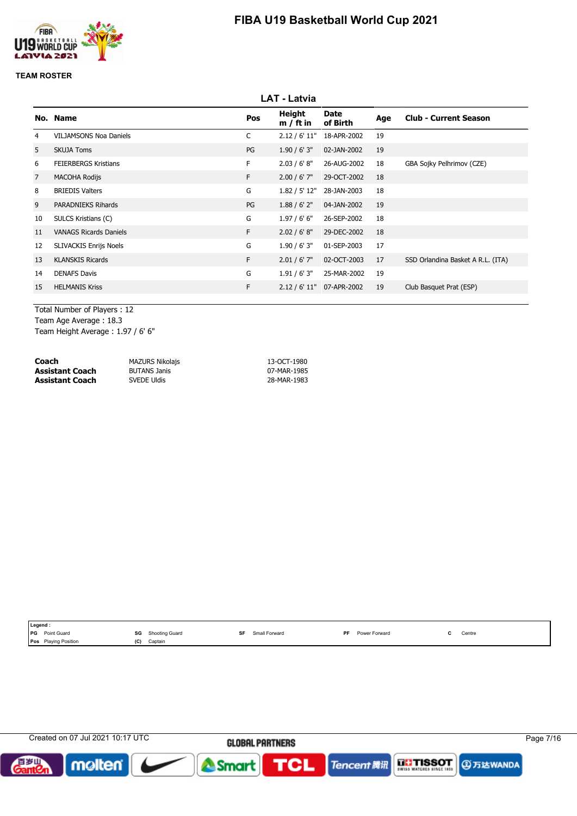

### **TEAM ROSTER**

|                |                               |     | <b>LAT - Latvia</b>   |                         |     |                                   |
|----------------|-------------------------------|-----|-----------------------|-------------------------|-----|-----------------------------------|
|                | No. Name                      | Pos | Height<br>$m / ft$ in | <b>Date</b><br>of Birth | Age | <b>Club - Current Season</b>      |
| 4              | <b>VILJAMSONS Noa Daniels</b> | C   | 2.12 / 6' 11"         | 18-APR-2002             | 19  |                                   |
| 5              | <b>SKUJA Toms</b>             | PG  | 1.90/6'3''            | 02-JAN-2002             | 19  |                                   |
| 6              | <b>FEIERBERGS Kristians</b>   | F.  | 2.03 / 6' 8''         | 26-AUG-2002             | 18  | GBA Sojky Pelhrimov (CZE)         |
| $\overline{7}$ | <b>MACOHA Rodijs</b>          | F.  | $2.00 / 6'$ 7"        | 29-OCT-2002             | 18  |                                   |
| 8              | <b>BRIEDIS Valters</b>        | G   | 1.82 / 5' 12"         | 28-JAN-2003             | 18  |                                   |
| 9              | <b>PARADNIEKS Rihards</b>     | PG  | 1.88 / 6' 2''         | 04-JAN-2002             | 19  |                                   |
| 10             | SULCS Kristians (C)           | G   | 1.97/6'6''            | 26-SEP-2002             | 18  |                                   |
| 11             | <b>VANAGS Ricards Daniels</b> | F.  | 2.02 / 6' 8''         | 29-DEC-2002             | 18  |                                   |
| 12             | <b>SLIVACKIS Enrijs Noels</b> | G   | 1.90 / 6' 3''         | 01-SEP-2003             | 17  |                                   |
| 13             | <b>KLANSKIS Ricards</b>       | F.  | $2.01 / 6'$ 7"        | 02-OCT-2003             | 17  | SSD Orlandina Basket A R.L. (ITA) |
| 14             | <b>DENAFS Davis</b>           | G   | 1.91 / 6' 3''         | 25-MAR-2002             | 19  |                                   |
| 15             | <b>HELMANIS Kriss</b>         | F.  | 2.12 / 6' 11"         | 07-APR-2002             | 19  | Club Basquet Prat (ESP)           |
|                |                               |     |                       |                         |     |                                   |

Total Number of Players : 12 Team Age Average : 18.3

Team Height Average : 1.97 / 6' 6"

| Coach           | <b>MAZURS Nikolajs</b> | 13-OCT-1980 |
|-----------------|------------------------|-------------|
| Assistant Coach | BUTANS Janis           | 07-MAR-1985 |
| Assistant Coach | SVEDE Uldis            | 28-MAR-1983 |

| Legend:   |                             |     |                |               |           |               |        |
|-----------|-----------------------------|-----|----------------|---------------|-----------|---------------|--------|
| <b>PG</b> | Point Guard                 | SG  | Shooting Guard | Small Forward | <b>DE</b> | Power Forward | Centre |
|           | <b>Pos</b> Playing Position | (C) | Captain        |               |           |               |        |

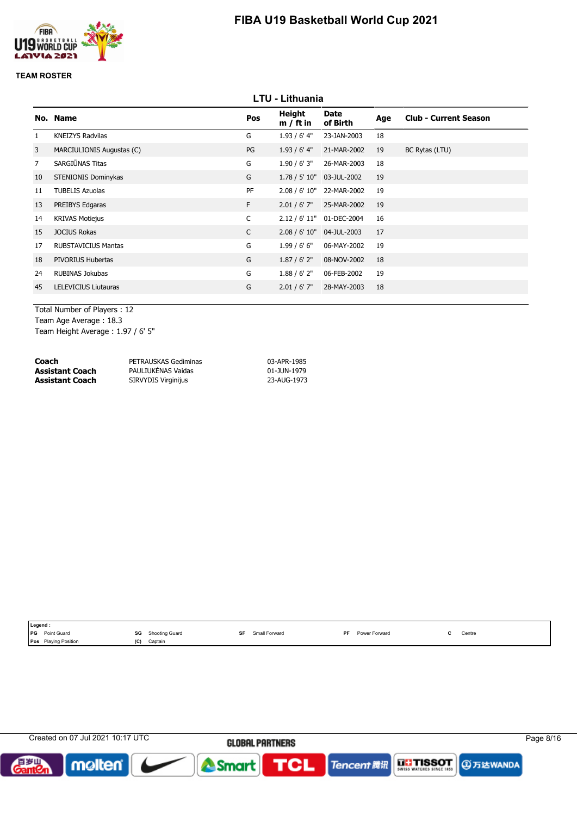

### **TEAM ROSTER**

|                |                            |              | <b>LTU - Lithuania</b>       |                  |     |                              |
|----------------|----------------------------|--------------|------------------------------|------------------|-----|------------------------------|
|                | No. Name                   | Pos          | <b>Height</b><br>$m / ft$ in | Date<br>of Birth | Age | <b>Club - Current Season</b> |
| $\mathbf{1}$   | <b>KNEIZYS Radvilas</b>    | G            | $1.93/6'$ 4"                 | 23-JAN-2003      | 18  |                              |
| 3              | MARCIULIONIS Augustas (C)  | PG           | 1.93/6'4"                    | 21-MAR-2002      | 19  | BC Rytas (LTU)               |
| $\overline{7}$ | SARGIŪNAS Titas            | G            | 1.90 / 6' 3''                | 26-MAR-2003      | 18  |                              |
| 10             | STENIONIS Dominykas        | G            | 1.78 / 5' 10"                | 03-JUL-2002      | 19  |                              |
| 11             | <b>TUBELIS Azuolas</b>     | PF           | 2.08 / 6' 10"                | 22-MAR-2002      | 19  |                              |
| 13             | PREIBYS Edgaras            | F.           | $2.01 / 6'$ 7"               | 25-MAR-2002      | 19  |                              |
| 14             | <b>KRIVAS Motiejus</b>     | $\mathsf{C}$ | 2.12 / 6' 11"                | 01-DEC-2004      | 16  |                              |
| 15             | <b>JOCIUS Rokas</b>        | $\mathsf{C}$ | 2.08 / 6' 10"                | 04-JUL-2003      | 17  |                              |
| 17             | <b>RUBSTAVICIUS Mantas</b> | G            | 1.99/6'6''                   | 06-MAY-2002      | 19  |                              |
| 18             | PIVORIUS Hubertas          | G            | 1.87 / 6' 2''                | 08-NOV-2002      | 18  |                              |
| 24             | RUBINAS Jokubas            | G            | 1.88 / 6' 2''                | 06-FEB-2002      | 19  |                              |
| 45             | LELEVICIUS Liutauras       | G            | $2.01 / 6'$ 7"               | 28-MAY-2003      | 18  |                              |
|                |                            |              |                              |                  |     |                              |

Total Number of Players : 12 Team Age Average : 18.3 Team Height Average : 1.97 / 6' 5"

| Coach           | PETRAUSKAS Gediminas       | 03-APR-1985 |
|-----------------|----------------------------|-------------|
| Assistant Coach | PAULIUKĖNAS Vaidas         | 01-JUN-1979 |
| Assistant Coach | <b>SIRVYDIS Virginijus</b> | 23-AUG-1973 |

| Legend :                  |     |                |   |               |           |               |        |
|---------------------------|-----|----------------|---|---------------|-----------|---------------|--------|
| <b>IPG</b><br>Point Guard | SG  | Shooting Guard | ᅂ | Small Forward | <b>DF</b> | Power Forward | Centre |
| Pos Playing Position      | (C) | Captain        |   |               |           |               |        |

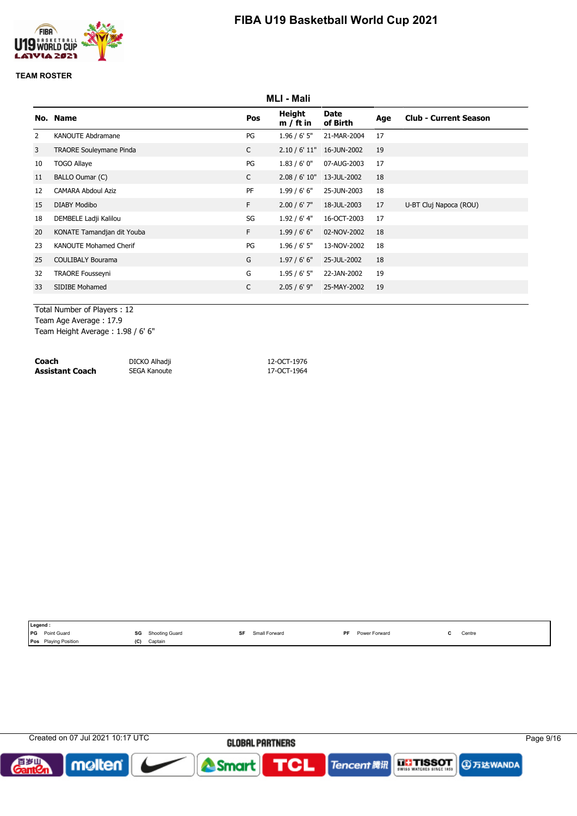

### **TEAM ROSTER**

|    | <b>MLI - Mali</b>              |              |                       |                  |     |                              |  |
|----|--------------------------------|--------------|-----------------------|------------------|-----|------------------------------|--|
|    | No. Name                       | Pos          | Height<br>$m / ft$ in | Date<br>of Birth | Age | <b>Club - Current Season</b> |  |
| 2  | KANOUTE Abdramane              | PG           | 1.96/6'5''            | 21-MAR-2004      | 17  |                              |  |
| 3  | <b>TRAORE Souleymane Pinda</b> | $\mathsf{C}$ | 2.10 / 6' 11"         | 16-JUN-2002      | 19  |                              |  |
| 10 | <b>TOGO Allaye</b>             | PG           | 1.83/6'0''            | 07-AUG-2003      | 17  |                              |  |
| 11 | BALLO Oumar (C)                | $\mathsf{C}$ | 2.08 / 6' 10"         | 13-JUL-2002      | 18  |                              |  |
| 12 | <b>CAMARA Abdoul Aziz</b>      | PF           | 1.99/6'6''            | 25-JUN-2003      | 18  |                              |  |
| 15 | <b>DIABY Modibo</b>            | F.           | $2.00 / 6'$ 7"        | 18-JUL-2003      | 17  | U-BT Cluj Napoca (ROU)       |  |
| 18 | DEMBELE Ladji Kalilou          | SG           | 1.92 / 6' 4"          | 16-OCT-2003      | 17  |                              |  |
| 20 | KONATE Tamandjan dit Youba     | F.           | 1.99/6'6''            | 02-NOV-2002      | 18  |                              |  |
| 23 | <b>KANOUTE Mohamed Cherif</b>  | PG           | $1.96 / 6'$ 5"        | 13-NOV-2002      | 18  |                              |  |
| 25 | <b>COULIBALY Bourama</b>       | G            | 1.97/6'6''            | 25-JUL-2002      | 18  |                              |  |
| 32 | <b>TRAORE Fousseyni</b>        | G            | 1.95/6'5''            | 22-JAN-2002      | 19  |                              |  |
| 33 | SIDIBE Mohamed                 | $\mathsf{C}$ | $2.05 / 6'$ 9"        | 25-MAY-2002      | 19  |                              |  |
|    |                                |              |                       |                  |     |                              |  |

Total Number of Players : 12 Team Age Average : 17.9

Team Height Average : 1.98 / 6' 6"

| Coach           | DICKO Alhadji | 12-OCT-1976 |
|-----------------|---------------|-------------|
| Assistant Coach | SEGA Kanoute  | 17-OCT-1964 |

|            | Legend:              |     |                       |    |               |           |               |                                           |
|------------|----------------------|-----|-----------------------|----|---------------|-----------|---------------|-------------------------------------------|
| <b>IPG</b> | Point Guard          | SG  | <b>Shooting Guard</b> | SF | Small Forward | <b>DF</b> | Power Forward | Centre<br>the contract of the contract of |
|            | Pos Playing Position | (C) | Captain               |    |               |           |               |                                           |

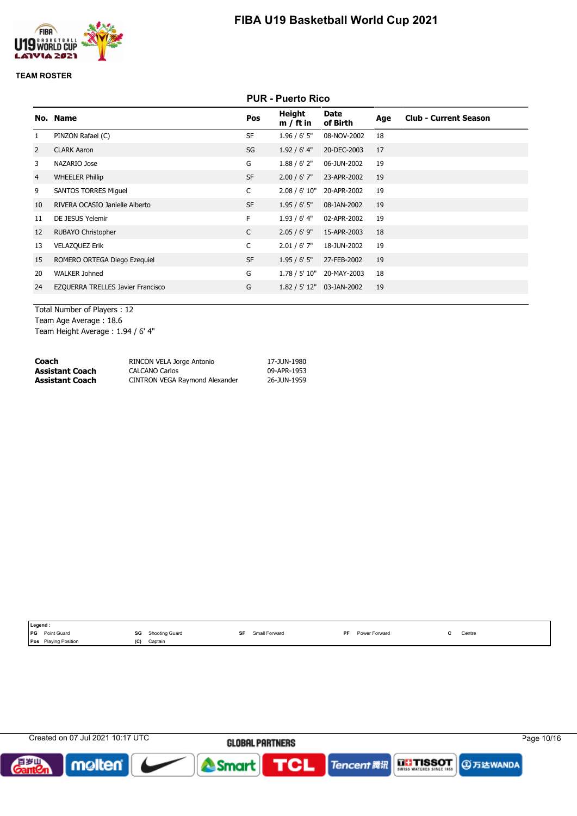

### **TEAM ROSTER**

| <b>PUR - Puerto Rico</b> |
|--------------------------|
|--------------------------|

|                | No. Name                          | Pos          | Height<br>$m / ft$ in | Date<br>of Birth | Age | <b>Club - Current Season</b> |
|----------------|-----------------------------------|--------------|-----------------------|------------------|-----|------------------------------|
| $\mathbf{1}$   | PINZON Rafael (C)                 | <b>SF</b>    | $1.96 / 6'$ 5"        | 08-NOV-2002      | 18  |                              |
| 2              | <b>CLARK Aaron</b>                | SG           | $1.92/6'$ 4"          | 20-DEC-2003      | 17  |                              |
| 3              | NAZARIO Jose                      | G            | 1.88 / 6' 2''         | 06-JUN-2002      | 19  |                              |
| $\overline{4}$ | <b>WHEELER Phillip</b>            | <b>SF</b>    | $2.00 / 6'$ 7"        | 23-APR-2002      | 19  |                              |
| 9              | <b>SANTOS TORRES Miguel</b>       | C            | 2.08 / 6' 10"         | 20-APR-2002      | 19  |                              |
| 10             | RIVERA OCASIO Janielle Alberto    | <b>SF</b>    | 1.95/6'5''            | 08-JAN-2002      | 19  |                              |
| 11             | DE JESUS Yelemir                  | F            | $1.93/6'$ 4"          | 02-APR-2002      | 19  |                              |
| 12             | <b>RUBAYO Christopher</b>         | $\mathsf{C}$ | 2.05/6'9''            | 15-APR-2003      | 18  |                              |
| 13             | <b>VELAZQUEZ Erik</b>             | C            | $2.01 / 6'$ 7"        | 18-JUN-2002      | 19  |                              |
| 15             | ROMERO ORTEGA Diego Ezequiel      | <b>SF</b>    | 1.95/6'5''            | 27-FEB-2002      | 19  |                              |
| 20             | <b>WALKER Johned</b>              | G            | 1.78 / 5' 10"         | 20-MAY-2003      | 18  |                              |
| 24             | EZQUERRA TRELLES Javier Francisco | G            | 1.82 / 5' 12"         | 03-JAN-2002      | 19  |                              |
|                |                                   |              |                       |                  |     |                              |

Total Number of Players : 12 Team Age Average : 18.6 Team Height Average : 1.94 / 6' 4"

| Coach           | RINCON VELA Jorge Antonio      | 17-JUN-1980 |
|-----------------|--------------------------------|-------------|
| Assistant Coach | <b>CALCANO Carlos</b>          | 09-APR-1953 |
| Assistant Coach | CINTRON VEGA Raymond Alexander | 26-JUN-1959 |

| Legend :                                                                     |                                                                 |               |                            |                                               |
|------------------------------------------------------------------------------|-----------------------------------------------------------------|---------------|----------------------------|-----------------------------------------------|
| <b>IPG</b><br>Point Guard<br>the contract of the contract of the contract of | SG<br>Shooting Guard<br>$ -$<br>the contract of the contract of | Small Forward | <b>DE</b><br>Power Forward | Centre<br>the contract of the contract of the |
| <b>Pos</b> Playing Position                                                  | (C)<br>Captain                                                  |               |                            |                                               |

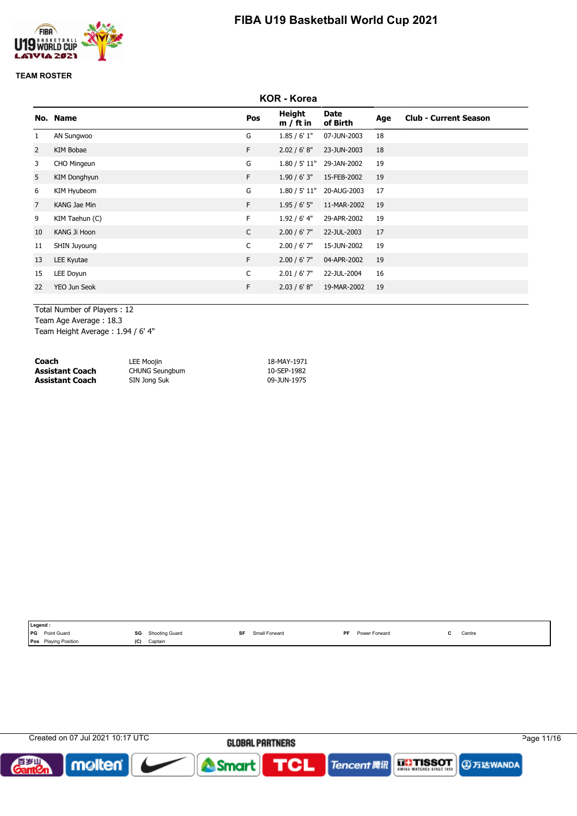

### **TEAM ROSTER**

|                | <b>KOR - Korea</b> |              |                       |                           |     |                              |  |
|----------------|--------------------|--------------|-----------------------|---------------------------|-----|------------------------------|--|
|                | No. Name           | Pos          | Height<br>$m / ft$ in | Date<br>of Birth          | Age | <b>Club - Current Season</b> |  |
| 1              | AN Sungwoo         | G            | 1.85/6'1"             | 07-JUN-2003               | 18  |                              |  |
| $\overline{2}$ | KIM Bobae          | F.           | 2.02 / 6' 8''         | 23-JUN-2003               | 18  |                              |  |
| 3              | CHO Mingeun        | G            | 1.80 / 5' 11"         | 29-JAN-2002               | 19  |                              |  |
| 5              | KIM Donghyun       | F            | 1.90 / 6' 3''         | 15-FEB-2002               | 19  |                              |  |
| 6              | KIM Hyubeom        | G            |                       | 1.80 / 5' 11" 20-AUG-2003 | 17  |                              |  |
| $\overline{7}$ | KANG Jae Min       | F            | 1.95/6'5''            | 11-MAR-2002               | 19  |                              |  |
| 9              | KIM Taehun (C)     | F.           | 1.92 / 6' 4"          | 29-APR-2002               | 19  |                              |  |
| 10             | KANG Ji Hoon       | $\mathsf{C}$ | $2.00 / 6'$ 7"        | 22-JUL-2003               | 17  |                              |  |
| 11             | SHIN Juyoung       | $\mathsf{C}$ | $2.00 / 6'$ 7"        | 15-JUN-2002               | 19  |                              |  |
| 13             | LEE Kyutae         | F.           | $2.00 / 6'$ 7"        | 04-APR-2002               | 19  |                              |  |
| 15             | LEE Doyun          | $\mathsf{C}$ | $2.01 / 6'$ 7"        | 22-JUL-2004               | 16  |                              |  |
| 22             | YEO Jun Seok       | F.           | 2.03 / 6' 8''         | 19-MAR-2002               | 19  |                              |  |
|                |                    |              |                       |                           |     |                              |  |

Total Number of Players : 12

Team Age Average : 18.3

Team Height Average : 1.94 / 6' 4"

| Coach                  | LEE Moojin            | 18-MAY-1971 |
|------------------------|-----------------------|-------------|
| <b>Assistant Coach</b> | <b>CHUNG Seungbum</b> | 10-SEP-1982 |
| <b>Assistant Coach</b> | SIN Jong Suk          | 09-JUN-1975 |

| Legend :                                                                     |                                                                        |               |                            |                                               |
|------------------------------------------------------------------------------|------------------------------------------------------------------------|---------------|----------------------------|-----------------------------------------------|
| <b>IPG</b><br>Point Guard<br>the contract of the contract of the contract of | SG<br><b>Shooting Guard</b><br>$ -$<br>the contract of the contract of | Small Forward | <b>DF</b><br>Power Forward | Centre<br>the contract of the contract of the |
| <b>Pos</b> Playing Position                                                  | (C)<br>Captain                                                         |               |                            |                                               |

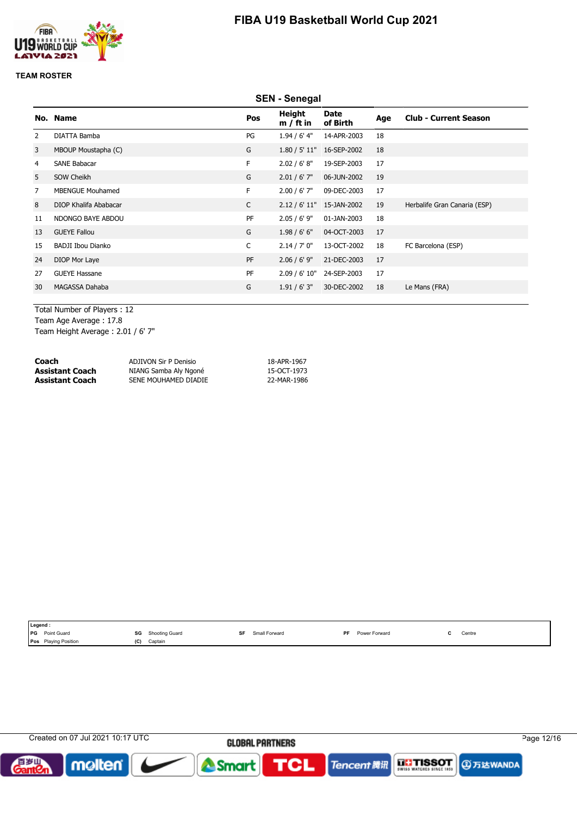



### **TEAM ROSTER**

|                | <b>SEN - Senegal</b>     |              |                       |                         |     |                              |  |
|----------------|--------------------------|--------------|-----------------------|-------------------------|-----|------------------------------|--|
|                | No. Name                 | Pos          | Height<br>$m / ft$ in | <b>Date</b><br>of Birth | Age | <b>Club - Current Season</b> |  |
| $\overline{2}$ | DIATTA Bamba             | PG           | $1.94/6'$ 4"          | 14-APR-2003             | 18  |                              |  |
| 3              | MBOUP Moustapha (C)      | G            | 1.80 / 5' 11"         | 16-SEP-2002             | 18  |                              |  |
| 4              | SANE Babacar             | F            | 2.02 / 6' 8''         | 19-SEP-2003             | 17  |                              |  |
| 5              | SOW Cheikh               | G            | $2.01 / 6'$ 7"        | 06-JUN-2002             | 19  |                              |  |
| 7              | <b>MBENGUE Mouhamed</b>  | F.           | $2.00 / 6'$ 7"        | 09-DEC-2003             | 17  |                              |  |
| 8              | DIOP Khalifa Ababacar    | $\mathsf{C}$ | 2.12 / 6' 11"         | 15-JAN-2002             | 19  | Herbalife Gran Canaria (ESP) |  |
| 11             | NDONGO BAYE ABDOU        | PF           | $2.05 / 6'$ 9"        | 01-JAN-2003             | 18  |                              |  |
| 13             | <b>GUEYE Fallou</b>      | G            | 1.98/6'6''            | 04-OCT-2003             | 17  |                              |  |
| 15             | <b>BADJI Ibou Dianko</b> | C            | 2.14 / 7' 0''         | 13-OCT-2002             | 18  | FC Barcelona (ESP)           |  |
| 24             | DIOP Mor Laye            | PF           | $2.06 / 6'$ 9"        | 21-DEC-2003             | 17  |                              |  |
| 27             | <b>GUEYE Hassane</b>     | PF           | 2.09 / 6' 10"         | 24-SEP-2003             | 17  |                              |  |
| 30             | MAGASSA Dahaba           | G            | 1.91 / 6' 3''         | 30-DEC-2002             | 18  | Le Mans (FRA)                |  |
|                |                          |              |                       |                         |     |                              |  |

Total Number of Players : 12 Team Age Average : 17.8

Team Height Average : 2.01 / 6' 7"

| Coach           | ADJIVON Sir P Denisio | 18-APR-1967 |
|-----------------|-----------------------|-------------|
| Assistant Coach | NIANG Samba Aly Ngoné | 15-OCT-1973 |
| Assistant Coach | SENE MOUHAMED DIADIE  | 22-MAR-1986 |

| Legend :                                                                     |                                                                 |               |                            |                                               |
|------------------------------------------------------------------------------|-----------------------------------------------------------------|---------------|----------------------------|-----------------------------------------------|
| <b>IPG</b><br>Point Guard<br>the contract of the contract of the contract of | SG<br>Shooting Guard<br>$ -$<br>the contract of the contract of | Small Forward | <b>DE</b><br>Power Forward | Centre<br>the contract of the contract of the |
| <b>Pos</b> Playing Position                                                  | (C)<br>Captain                                                  |               |                            |                                               |

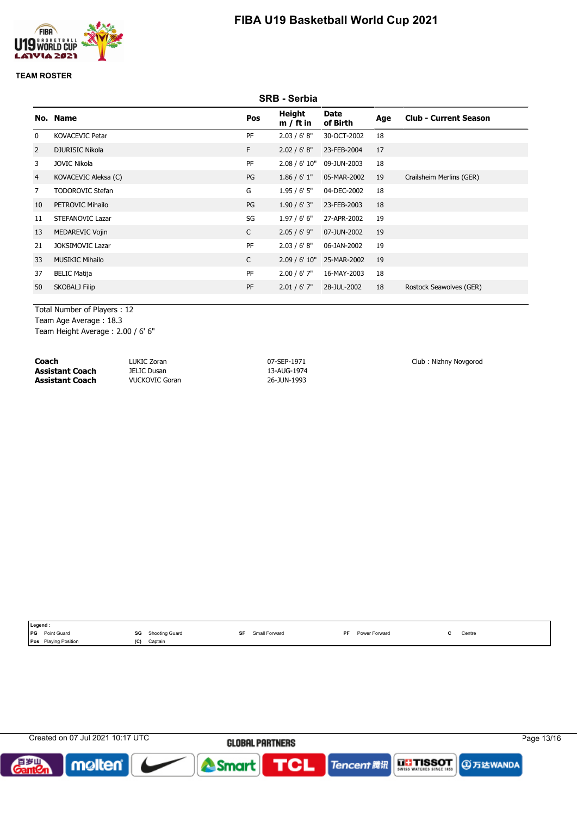

#### **TEAM ROSTER**

|                |                         |              | <b>SRB - Serbia</b>          |                         |     |                              |
|----------------|-------------------------|--------------|------------------------------|-------------------------|-----|------------------------------|
|                | No. Name                | Pos          | <b>Height</b><br>$m / ft$ in | <b>Date</b><br>of Birth | Age | <b>Club - Current Season</b> |
| $\mathbf{0}$   | <b>KOVACEVIC Petar</b>  | PF           | 2.03 / 6' 8''                | 30-OCT-2002             | 18  |                              |
| 2              | <b>DJURISIC Nikola</b>  | F.           | 2.02 / 6' 8''                | 23-FEB-2004             | 17  |                              |
| 3              | <b>JOVIC Nikola</b>     | PF           | 2.08 / 6' 10"                | 09-JUN-2003             | 18  |                              |
| $\overline{4}$ | KOVACEVIC Aleksa (C)    | PG           | 1.86 / 6' 1''                | 05-MAR-2002             | 19  | Crailsheim Merlins (GER)     |
| 7              | <b>TODOROVIC Stefan</b> | G            | 1.95/6'5''                   | 04-DEC-2002             | 18  |                              |
| 10             | PETROVIC Mihailo        | PG           | 1.90/6'3''                   | 23-FEB-2003             | 18  |                              |
| 11             | <b>STEFANOVIC Lazar</b> | SG           | 1.97/6'6''                   | 27-APR-2002             | 19  |                              |
| 13             | MEDAREVIC Vojin         | C            | $2.05 / 6'$ 9"               | 07-JUN-2002             | 19  |                              |
| 21             | <b>JOKSIMOVIC Lazar</b> | PF           | 2.03 / 6' 8''                | 06-JAN-2002             | 19  |                              |
| 33             | <b>MUSIKIC Mihailo</b>  | $\mathsf{C}$ | 2.09 / 6' 10"                | 25-MAR-2002             | 19  |                              |
| 37             | <b>BELIC Matija</b>     | PF           | $2.00 / 6'$ 7"               | 16-MAY-2003             | 18  |                              |
| 50             | SKOBALJ Filip           | PF           | $2.01 / 6'$ 7"               | 28-JUL-2002             | 18  | Rostock Seawolves (GER)      |
|                |                         |              |                              |                         |     |                              |

Total Number of Players : 12 Team Age Average : 18.3

Team Height Average : 2.00 / 6' 6"

**Coach** LUKIC Zoran LUKIC Zoran 07-SEP-1971 Club : Nizhny Novgorod<br> **Assistant Coach** JELIC Dusan 13-AUG-1974 13-AUG-1974 **Assistant Coach Assistant Coach** VUCKOVIC Goran 26-JUN-1993

| Legend.                   |                                                                                  |               |                             |                                               |
|---------------------------|----------------------------------------------------------------------------------|---------------|-----------------------------|-----------------------------------------------|
| <b>IPG</b><br>Point Guard | SG<br>Shooting.<br>Guard<br>$\sim$ $\sim$<br>the contract of the contract of the | Small Forward | DE.<br><b>Power Forward</b> | Centre<br>the contract of the contract of the |
| Pos<br>g Position         | (C)<br>Captain                                                                   |               |                             |                                               |

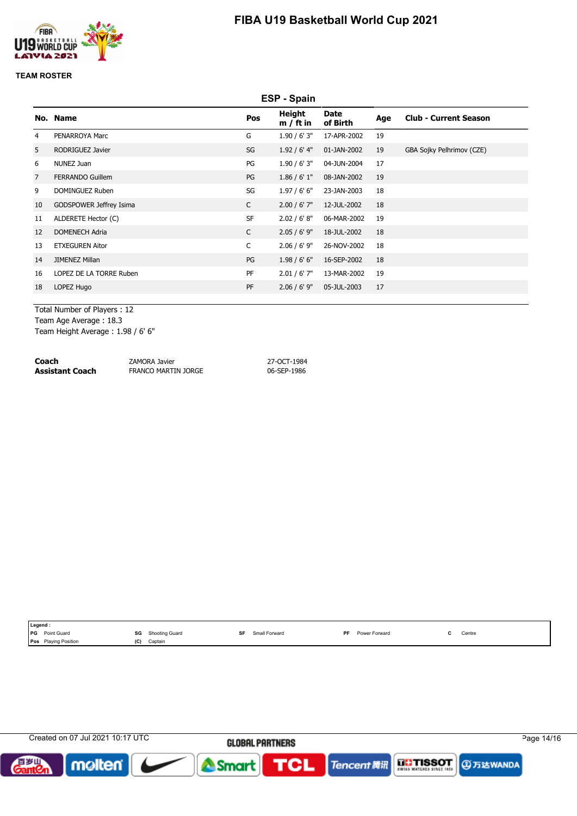

### **TEAM ROSTER**

|                |                         |              | ESP - Spain           |                         |     |                              |
|----------------|-------------------------|--------------|-----------------------|-------------------------|-----|------------------------------|
|                | No. Name                | Pos          | Height<br>$m / ft$ in | <b>Date</b><br>of Birth | Age | <b>Club - Current Season</b> |
| 4              | PENARROYA Marc          | G            | 1.90 / 6' 3''         | 17-APR-2002             | 19  |                              |
| 5              | RODRIGUEZ Javier        | SG           | 1.92 / 6' 4"          | 01-JAN-2002             | 19  | GBA Sojky Pelhrimov (CZE)    |
| 6              | NUNEZ Juan              | PG           | 1.90 / 6' 3''         | 04-JUN-2004             | 17  |                              |
| $\overline{7}$ | <b>FERRANDO Guillem</b> | PG           | 1.86 / 6' 1''         | 08-JAN-2002             | 19  |                              |
| 9              | DOMINGUEZ Ruben         | SG           | 1.97/6'6''            | 23-JAN-2003             | 18  |                              |
| 10             | GODSPOWER Jeffrey Isima | C            | $2.00 / 6'$ 7"        | 12-JUL-2002             | 18  |                              |
| 11             | ALDERETE Hector (C)     | <b>SF</b>    | 2.02 / 6' 8''         | 06-MAR-2002             | 19  |                              |
| 12             | <b>DOMENECH Adria</b>   | $\mathsf{C}$ | $2.05 / 6'$ 9"        | 18-JUL-2002             | 18  |                              |
| 13             | <b>ETXEGUREN Aitor</b>  | C            | $2.06 / 6'$ 9"        | 26-NOV-2002             | 18  |                              |
| 14             | <b>JIMENEZ Millan</b>   | PG           | 1.98/6'6''            | 16-SEP-2002             | 18  |                              |
| 16             | LOPEZ DE LA TORRE Ruben | PF           | 2.01 / 6' 7''         | 13-MAR-2002             | 19  |                              |
| 18             | LOPEZ Hugo              | PF           | $2.06 / 6'$ 9"        | 05-JUL-2003             | 17  |                              |
|                |                         |              |                       |                         |     |                              |

Total Number of Players : 12

Team Age Average : 18.3

Team Height Average : 1.98 / 6' 6"

| Coach           | ZAMORA Javier       | 27-OCT-1984 |
|-----------------|---------------------|-------------|
| Assistant Coach | FRANCO MARTIN JORGE | 06-SEP-1986 |

| Legend:                     |     |                          |    |               |           |               |  |        |  |
|-----------------------------|-----|--------------------------|----|---------------|-----------|---------------|--|--------|--|
| <b>PG</b> Point Guard       |     | <b>SG</b> Shooting Guard | SF | Small Forward | <b>PF</b> | Power Forward |  | Centre |  |
| <b>Pos</b> Playing Position | (C) | Captain                  |    |               |           |               |  |        |  |

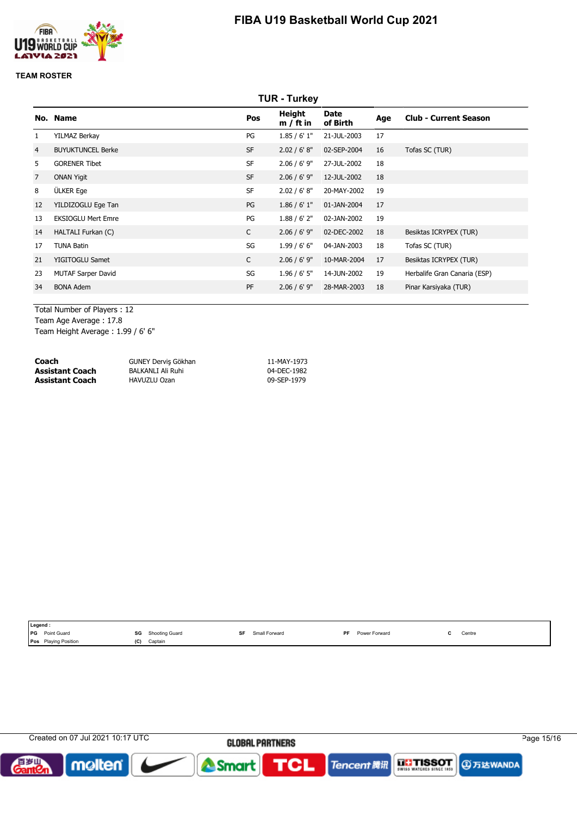

### **TEAM ROSTER**

|                | <b>TUR - Turkey</b>       |              |                              |                         |     |                              |  |  |
|----------------|---------------------------|--------------|------------------------------|-------------------------|-----|------------------------------|--|--|
|                | No. Name                  | Pos          | <b>Height</b><br>$m / ft$ in | <b>Date</b><br>of Birth | Age | <b>Club - Current Season</b> |  |  |
|                | YILMAZ Berkay             | PG           | 1.85/6'1"                    | 21-JUL-2003             | 17  |                              |  |  |
| $\overline{4}$ | <b>BUYUKTUNCEL Berke</b>  | <b>SF</b>    | 2.02 / 6' 8''                | 02-SEP-2004             | 16  | Tofas SC (TUR)               |  |  |
| 5.             | <b>GORENER Tibet</b>      | <b>SF</b>    | $2.06 / 6'$ 9"               | 27-JUL-2002             | 18  |                              |  |  |
| $\overline{7}$ | <b>ONAN Yigit</b>         | <b>SF</b>    | $2.06 / 6'$ 9"               | 12-JUL-2002             | 18  |                              |  |  |
| 8              | ÜLKER Ege                 | <b>SF</b>    | 2.02 / 6' 8''                | 20-MAY-2002             | 19  |                              |  |  |
| 12             | YILDIZOGLU Ege Tan        | PG           | 1.86 / 6' 1''                | 01-JAN-2004             | 17  |                              |  |  |
| 13             | <b>EKSIOGLU Mert Emre</b> | PG           | 1.88 / 6' 2''                | 02-JAN-2002             | 19  |                              |  |  |
| 14             | HALTALI Furkan (C)        | $\mathsf{C}$ | $2.06 / 6'$ 9"               | 02-DEC-2002             | 18  | Besiktas ICRYPEX (TUR)       |  |  |
| 17             | <b>TUNA Batin</b>         | SG           | 1.99/6'6''                   | 04-JAN-2003             | 18  | Tofas SC (TUR)               |  |  |
| 21             | YIGITOGLU Samet           | $\mathsf{C}$ | $2.06 / 6'$ 9"               | 10-MAR-2004             | 17  | Besiktas ICRYPEX (TUR)       |  |  |
| 23             | <b>MUTAF Sarper David</b> | SG           | $1.96 / 6'$ 5"               | 14-JUN-2002             | 19  | Herbalife Gran Canaria (ESP) |  |  |
| 34             | <b>BONA Adem</b>          | PF           | $2.06 / 6'$ 9"               | 28-MAR-2003             | 18  | Pinar Karsiyaka (TUR)        |  |  |
|                |                           |              |                              |                         |     |                              |  |  |

Total Number of Players : 12 Team Age Average : 17.8

Team Height Average : 1.99 / 6' 6"

| Coach                  | GUNEY Dervis Gökhan | 11-MAY-1973 |
|------------------------|---------------------|-------------|
| <b>Assistant Coach</b> | BALKANLI Ali Ruhi   | 04-DEC-1982 |
| <b>Assistant Coach</b> | HAVUZLU Ozan        | 09-SEP-1979 |

| Legend:                   |     |                |    |               |     |               |  |        |
|---------------------------|-----|----------------|----|---------------|-----|---------------|--|--------|
| <b>IPG</b><br>Point Guard | SG  | Shooting Guard | SF | Small Forward | DE. | Power Forward |  | Centre |
| Pos Playing Position      | (C) | Captain        |    |               |     |               |  |        |